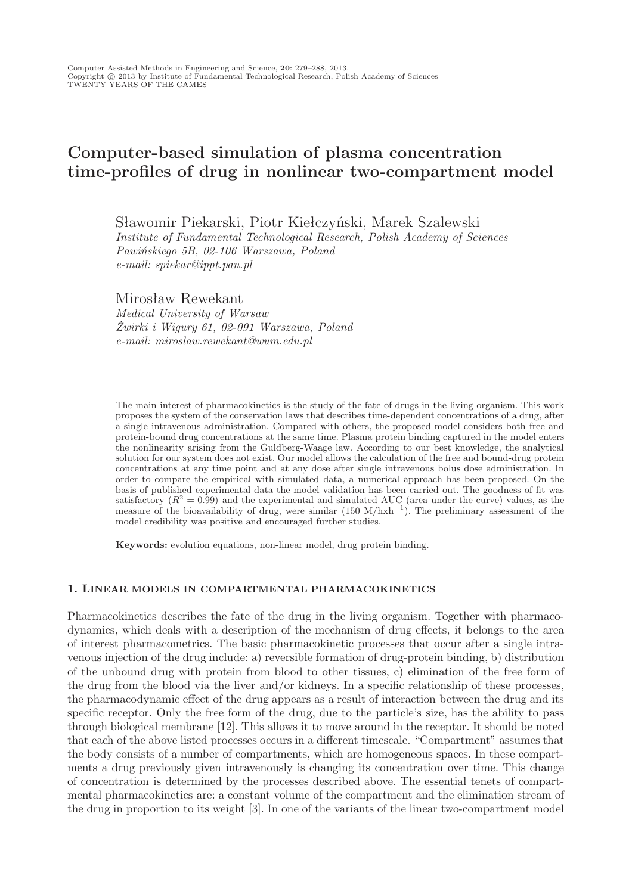# Computer-based simulation of plasma concentration time-profiles of drug in nonlinear two-compartment model

Sławomir Piekarski, Piotr Kiełczyński, Marek Szalewski *Institute of Fundamental Technological Research, Polish Academy of Sciences Pawińskiego 5B, 02-106 Warszawa, Poland*

*e-mail: spiekar@ippt.pan.pl*

Mirosław Rewekant

*Medical University of Warsaw Żwirki i Wigury 61, 02-091 Warszawa, Poland e-mail: miroslaw.rewekant@wum.edu.pl*

The main interest of pharmacokinetics is the study of the fate of drugs in the living organism. This work proposes the system of the conservation laws that describes time-dependent concentrations of a drug, after a single intravenous administration. Compared with others, the proposed model considers both free and protein-bound drug concentrations at the same time. Plasma protein binding captured in the model enters the nonlinearity arising from the Guldberg-Waage law. According to our best knowledge, the analytical solution for our system does not exist. Our model allows the calculation of the free and bound-drug protein concentrations at any time point and at any dose after single intravenous bolus dose administration. In order to compare the empirical with simulated data, a numerical approach has been proposed. On the basis of published experimental data the model validation has been carried out. The goodness of fit was satisfactory  $(R^2 = 0.99)$  and the experimental and simulated AUC (area under the curve) values, as the measure of the bioavailability of drug, were similar (150 M/hxh<sup>−</sup><sup>1</sup> ). The preliminary assessment of the model credibility was positive and encouraged further studies.

**Keywords:** evolution equations, non-linear model, drug protein binding.

# **1. LINEAR MODELS IN COMPARTMENTAL PHARMACOKINETICS**

Pharmacokinetics describes the fate of the drug in the living organism. Together with pharmacodynamics, which deals with a description of the mechanism of drug effects, it belongs to the area of interest pharmacometrics. The basic pharmacokinetic processes that occur after a single intravenous injection of the drug include: a) reversible formation of drug-protein binding, b) distribution of the unbound drug with protein from blood to other tissues, c) elimination of the free form of the drug from the blood via the liver and/or kidneys. In a specific relationship of these processes, the pharmacodynamic effect of the drug appears as a result of interaction between the drug and its specific receptor. Only the free form of the drug, due to the particle's size, has the ability to pass through biological membrane [12]. This allows it to move around in the receptor. It should be noted that each of the above listed processes occurs in a different timescale. "Compartment" assumes that the body consists of a number of compartments, which are homogeneous spaces. In these compartments a drug previously given intravenously is changing its concentration over time. This change of concentration is determined by the processes described above. The essential tenets of compartmental pharmacokinetics are: a constant volume of the compartment and the elimination stream of the drug in proportion to its weight [3]. In one of the variants of the linear two-compartment model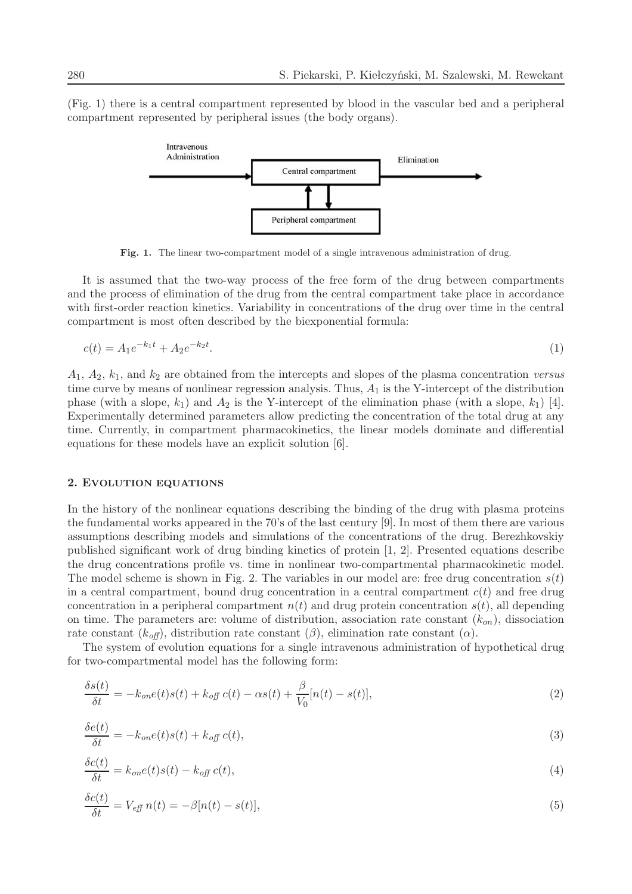(Fig. 1) there is a central compartment represented by blood in the vascular bed and a peripheral compartment represented by peripheral issues (the body organs).



**Fig. 1.** The linear two-compartment model of a single intravenous administration of drug.

It is assumed that the two-way process of the free form of the drug between compartments and the process of elimination of the drug from the central compartment take place in accordance with first-order reaction kinetics. Variability in concentrations of the drug over time in the central compartment is most often described by the biexponential formula:

$$
c(t) = A_1 e^{-k_1 t} + A_2 e^{-k_2 t}.
$$
\n<sup>(1)</sup>

A1, A2, k1, and k<sup>2</sup> are obtained from the intercepts and slopes of the plasma concentration *versus* time curve by means of nonlinear regression analysis. Thus,  $A_1$  is the Y-intercept of the distribution phase (with a slope,  $k_1$ ) and  $A_2$  is the Y-intercept of the elimination phase (with a slope,  $k_1$ ) [4]. Experimentally determined parameters allow predicting the concentration of the total drug at any time. Currently, in compartment pharmacokinetics, the linear models dominate and differential equations for these models have an explicit solution [6].

## **2. EVOLUTION EQUATIONS**

In the history of the nonlinear equations describing the binding of the drug with plasma proteins the fundamental works appeared in the 70's of the last century [9]. In most of them there are various assumptions describing models and simulations of the concentrations of the drug. Berezhkovskiy published significant work of drug binding kinetics of protein [1, 2]. Presented equations describe the drug concentrations profile vs. time in nonlinear two-compartmental pharmacokinetic model. The model scheme is shown in Fig. 2. The variables in our model are: free drug concentration  $s(t)$ in a central compartment, bound drug concentration in a central compartment  $c(t)$  and free drug concentration in a peripheral compartment  $n(t)$  and drug protein concentration  $s(t)$ , all depending on time. The parameters are: volume of distribution, association rate constant  $(k_{on})$ , dissociation rate constant  $(k_{\text{off}})$ , distribution rate constant  $(\beta)$ , elimination rate constant  $(\alpha)$ .

The system of evolution equations for a single intravenous administration of hypothetical drug for two-compartmental model has the following form:

$$
\frac{\delta s(t)}{\delta t} = -k_{on}e(t)s(t) + k_{off}c(t) - \alpha s(t) + \frac{\beta}{V_0}[n(t) - s(t)],\tag{2}
$$

$$
\frac{\delta e(t)}{\delta t} = -k_{on}e(t)s(t) + k_{off}c(t),\tag{3}
$$

$$
\frac{\delta c(t)}{\delta t} = k_{on}e(t)s(t) - k_{off}c(t),\tag{4}
$$

$$
\frac{\delta c(t)}{\delta t} = V_{\text{eff}} n(t) = -\beta [n(t) - s(t)],\tag{5}
$$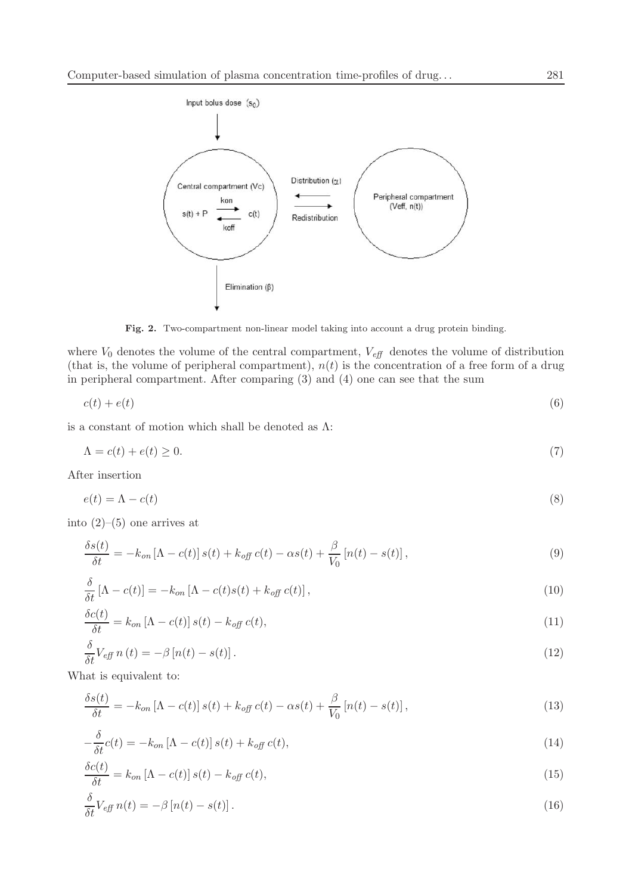

**Fig. 2.** Two-compartment non-linear model taking into account a drug protein binding.

where  $V_0$  denotes the volume of the central compartment,  $V_{\text{eff}}$  denotes the volume of distribution (that is, the volume of peripheral compartment),  $n(t)$  is the concentration of a free form of a drug in peripheral compartment. After comparing (3) and (4) one can see that the sum

$$
c(t) + e(t) \tag{6}
$$

is a constant of motion which shall be denoted as  $\Lambda$ :

$$
\Lambda = c(t) + e(t) \ge 0. \tag{7}
$$

After insertion

$$
e(t) = \Lambda - c(t) \tag{8}
$$

into  $(2)$ – $(5)$  one arrives at

$$
\frac{\delta s(t)}{\delta t} = -k_{on} \left[ \Lambda - c(t) \right] s(t) + k_{off} c(t) - \alpha s(t) + \frac{\beta}{V_0} \left[ n(t) - s(t) \right],\tag{9}
$$

$$
\frac{\delta}{\delta t} \left[ \Lambda - c(t) \right] = -k_{on} \left[ \Lambda - c(t)s(t) + k_{off} c(t) \right],\tag{10}
$$

$$
\frac{\delta c(t)}{\delta t} = k_{on} \left[ \Lambda - c(t) \right] s(t) - k_{off} \, c(t),\tag{11}
$$

$$
\frac{\delta}{\delta t} V_{\text{eff}} n(t) = -\beta \left[ n(t) - s(t) \right]. \tag{12}
$$

What is equivalent to:

$$
\frac{\delta s(t)}{\delta t} = -k_{on} \left[ \Lambda - c(t) \right] s(t) + k_{off} c(t) - \alpha s(t) + \frac{\beta}{V_0} \left[ n(t) - s(t) \right],\tag{13}
$$

$$
-\frac{\delta}{\delta t}c(t) = -k_{on} \left[\Lambda - c(t)\right]s(t) + k_{off} c(t),\tag{14}
$$

$$
\frac{\delta c(t)}{\delta t} = k_{on} \left[ \Lambda - c(t) \right] s(t) - k_{off} \, c(t),\tag{15}
$$

$$
\frac{\delta}{\delta t} V_{\text{eff}} n(t) = -\beta \left[ n(t) - s(t) \right]. \tag{16}
$$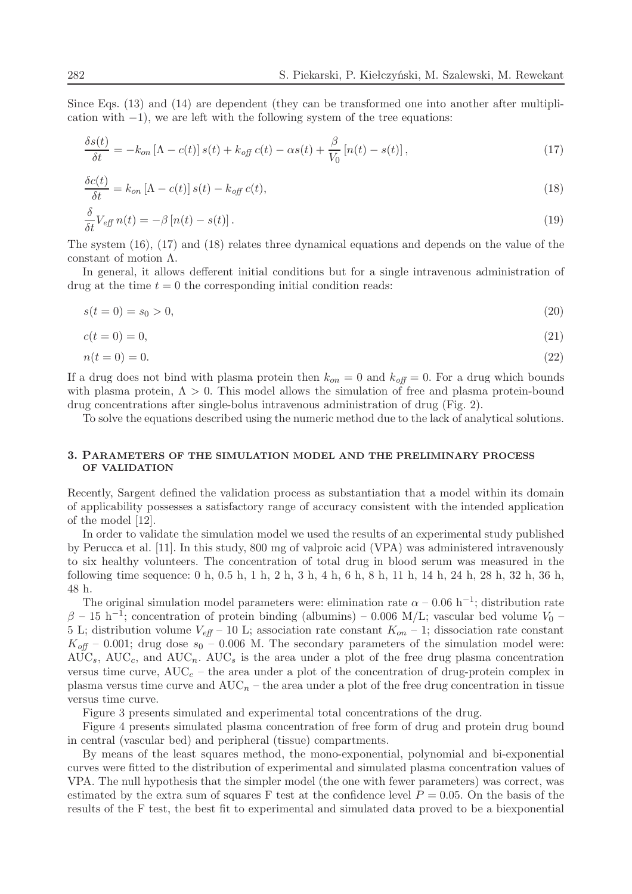Since Eqs. (13) and (14) are dependent (they can be transformed one into another after multiplication with  $-1$ ), we are left with the following system of the tree equations:

$$
\frac{\delta s(t)}{\delta t} = -k_{on} \left[ \Lambda - c(t) \right] s(t) + k_{off} c(t) - \alpha s(t) + \frac{\beta}{V_0} \left[ n(t) - s(t) \right],\tag{17}
$$

$$
\frac{\delta c(t)}{\delta t} = k_{on} \left[ \Lambda - c(t) \right] s(t) - k_{off} \, c(t),\tag{18}
$$

$$
\frac{\delta}{\delta t} V_{\text{eff}} n(t) = -\beta \left[ n(t) - s(t) \right]. \tag{19}
$$

The system (16), (17) and (18) relates three dynamical equations and depends on the value of the constant of motion Λ.

In general, it allows defferent initial conditions but for a single intravenous administration of drug at the time  $t = 0$  the corresponding initial condition reads:

$$
s(t = 0) = s_0 > 0,\t\t(20)
$$

$$
c(t = 0) = 0,\t(21)
$$

$$
n(t = 0) = 0.\t(22)
$$

If a drug does not bind with plasma protein then  $k_{on} = 0$  and  $k_{off} = 0$ . For a drug which bounds with plasma protein,  $\Lambda > 0$ . This model allows the simulation of free and plasma protein-bound drug concentrations after single-bolus intravenous administration of drug (Fig. 2).

To solve the equations described using the numeric method due to the lack of analytical solutions.

## **3. PARAMETERS OF THE SIMULATION MODEL AND THE PRELIMINARY PROCESS OF VALIDATION**

Recently, Sargent defined the validation process as substantiation that a model within its domain of applicability possesses a satisfactory range of accuracy consistent with the intended application of the model [12].

In order to validate the simulation model we used the results of an experimental study published by Perucca et al. [11]. In this study, 800 mg of valproic acid (VPA) was administered intravenously to six healthy volunteers. The concentration of total drug in blood serum was measured in the following time sequence: 0 h, 0.5 h, 1 h, 2 h, 3 h, 4 h, 6 h, 8 h, 11 h, 14 h, 24 h, 28 h, 32 h, 36 h, 48 h.

The original simulation model parameters were: elimination rate  $\alpha$  – 0.06 h<sup>-1</sup>; distribution rate  $\beta$  – 15 h<sup>-1</sup>; concentration of protein binding (albumins) – 0.006 M/L; vascular bed volume  $V_0$  – 5 L; distribution volume  $V_{\text{eff}}$  – 10 L; association rate constant  $K_{on}$  – 1; dissociation rate constant  $K_{\text{off}}$  – 0.001; drug dose  $s_0$  – 0.006 M. The secondary parameters of the simulation model were:  $\overline{\text{AUC}}_s$ ,  $\overline{\text{AUC}}_c$ , and  $\overline{\text{AUC}}_n$ .  $\overline{\text{AUC}}_s$  is the area under a plot of the free drug plasma concentration versus time curve,  $AUC_c$  – the area under a plot of the concentration of drug-protein complex in plasma versus time curve and  $AUC_n$  – the area under a plot of the free drug concentration in tissue versus time curve.

Figure 3 presents simulated and experimental total concentrations of the drug.

Figure 4 presents simulated plasma concentration of free form of drug and protein drug bound in central (vascular bed) and peripheral (tissue) compartments.

By means of the least squares method, the mono-exponential, polynomial and bi-exponential curves were fitted to the distribution of experimental and simulated plasma concentration values of VPA. The null hypothesis that the simpler model (the one with fewer parameters) was correct, was estimated by the extra sum of squares F test at the confidence level  $P = 0.05$ . On the basis of the results of the F test, the best fit to experimental and simulated data proved to be a biexponential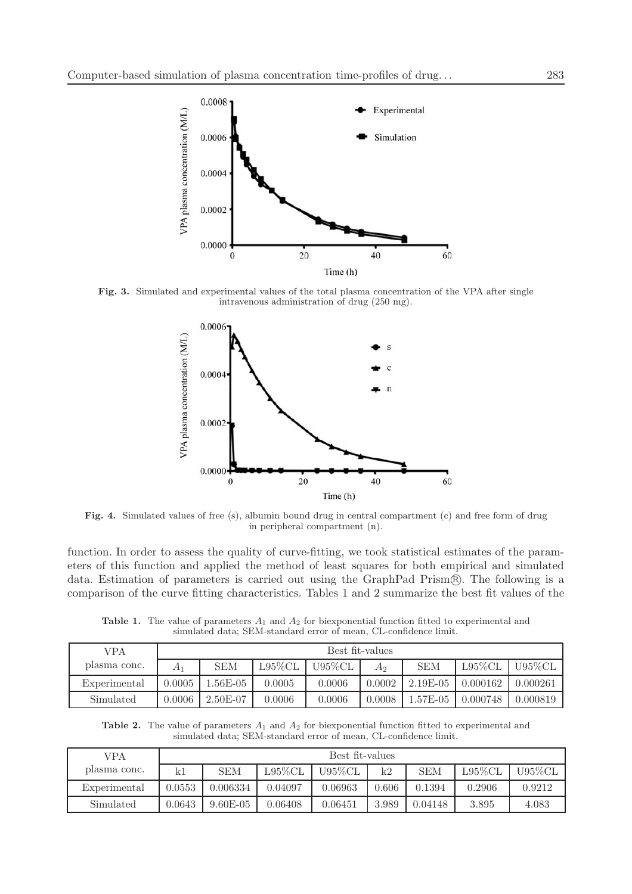

**Fig. 3.** Simulated and experimental values of the total plasma concentration of the VPA after single intravenous administration of drug (250 mg).



**Fig. 4.** Simulated values of free (s), albumin bound drug in central compartment (c) and free form of drug in peripheral compartment (n).

function. In order to assess the quality of curve-fitting, we took statistical estimates of the parameters of this function and applied the method of least squares for both empirical and simulated data. Estimation of parameters is carried out using the GraphPad Prism®. The following is a comparison of the curve fitting characteristics. Tables 1 and 2 summarize the best fit values of the

**Table 1.** The value of parameters  $A_1$  and  $A_2$  for biexponential function fitted to experimental and simulated data; SEM-standard error of mean, CL-confidence limit.

| VPA          | Best fit-values |            |            |           |        |            |            |          |
|--------------|-----------------|------------|------------|-----------|--------|------------|------------|----------|
| plasma conc. | $A_1$           | <b>SEM</b> | $L95\%$ CL | $U95\%CL$ | $A_2$  | <b>SEM</b> | $L95\%$ CL | U95%CL   |
| Experimental | $0.0005\,$      | .56E-05    | 0.0005     | 0.0006    | 0.0002 | $2.19E-05$ | 0.000162   | 0.000261 |
| Simulated    | 0.0006          | $2.50E-07$ | 0.0006     | 0.0006    | 0.0008 | 1.57E-05   | 0.000748   | 0.000819 |

**Table 2.** The value of parameters  $A_1$  and  $A_2$  for biexponential function fitted to experimental and simulated data; SEM-standard error of mean, CL-confidence limit.

| VPA          | Best fit-values |            |            |         |       |            |            |        |
|--------------|-----------------|------------|------------|---------|-------|------------|------------|--------|
| plasma conc. | kΙ              | <b>SEM</b> | $L95\%$ CL | U95%CL  | k2    | <b>SEM</b> | $L95\%$ CL | U95%CL |
| Experimental | 0.0553          | 0.006334   | 0.04097    | 0.06963 | 0.606 | 0.1394     | 0.2906     | 0.9212 |
| Simulated    | 0.0643          | $9.60E-05$ | 0.06408    | 0.06451 | 3.989 | 0.04148    | 3.895      | 4.083  |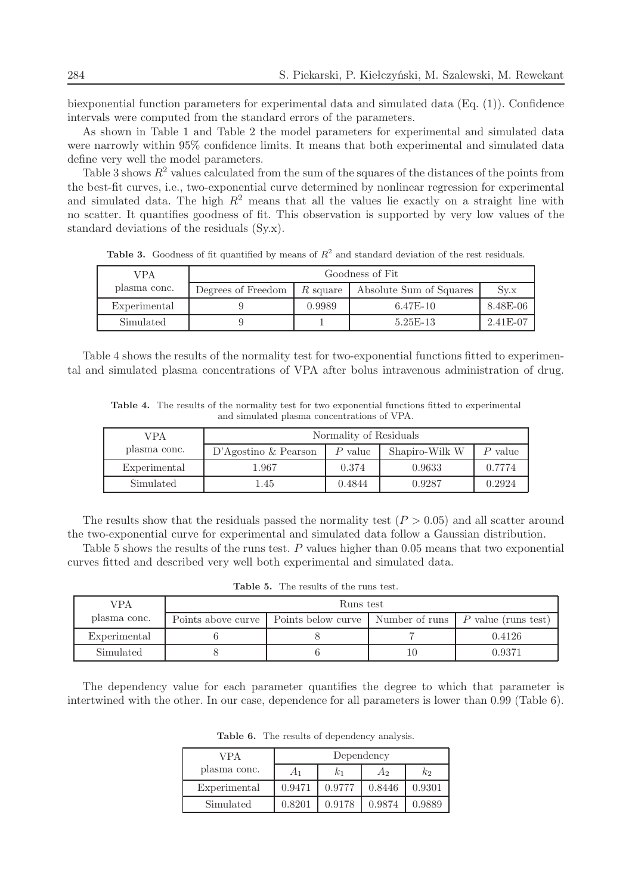biexponential function parameters for experimental data and simulated data (Eq. (1)). Confidence intervals were computed from the standard errors of the parameters.

As shown in Table 1 and Table 2 the model parameters for experimental and simulated data were narrowly within 95% confidence limits. It means that both experimental and simulated data define very well the model parameters.

Table 3 shows  $R^2$  values calculated from the sum of the squares of the distances of the points from the best-fit curves, i.e., two-exponential curve determined by nonlinear regression for experimental and simulated data. The high  $R^2$  means that all the values lie exactly on a straight line with no scatter. It quantifies goodness of fit. This observation is supported by very low values of the standard deviations of the residuals (Sy.x).

VPA plasma conc. Goodness of Fit Degrees of Freedom  $R$  square  $\overline{R}$  Absolute Sum of Squares  $\overline{S}$  Sy.x Experimental 9 9 0.9989 6.47E-10 8.48E-06 Simulated | 9 | 1 | 5.25E-13 | 2.41E-07

**Table 3.** Goodness of fit quantified by means of  $R^2$  and standard deviation of the rest residuals.

Table 4 shows the results of the normality test for two-exponential functions fitted to experimental and simulated plasma concentrations of VPA after bolus intravenous administration of drug.

**Table 4.** The results of the normality test for two exponential functions fitted to experimental and simulated plasma concentrations of VPA.

| VPA          | Normality of Residuals  |           |                |           |  |  |
|--------------|-------------------------|-----------|----------------|-----------|--|--|
| plasma conc. | $D'Agostino \& Pearson$ | $P$ value | Shapiro-Wilk W | $P$ value |  |  |
| Experimental | 1.967                   | 0.374     | 0.9633         | 0.7774    |  |  |
| Simulated    | 1.45                    | 0.4844    | 0.9287         | 0.2924    |  |  |

The results show that the residuals passed the normality test  $(P > 0.05)$  and all scatter around the two-exponential curve for experimental and simulated data follow a Gaussian distribution.

Table 5 shows the results of the runs test. P values higher than 0.05 means that two exponential curves fitted and described very well both experimental and simulated data.

| VPA          | Runs test          |                    |                |                            |  |  |  |
|--------------|--------------------|--------------------|----------------|----------------------------|--|--|--|
| plasma conc. | Points above curve | Points below curve | Number of runs | $\mid P$ value (runs test) |  |  |  |
| Experimental |                    |                    |                | 0.4126                     |  |  |  |
| Simulated    |                    |                    |                | 0.9371                     |  |  |  |

**Table 5.** The results of the runs test.

The dependency value for each parameter quantifies the degree to which that parameter is intertwined with the other. In our case, dependence for all parameters is lower than 0.99 (Table 6).

| VPA          | Dependency |            |        |        |  |  |  |
|--------------|------------|------------|--------|--------|--|--|--|
| plasma conc. | A1         | $\kappa_1$ | Aэ     | kэ     |  |  |  |
| Experimental | 0.9471     | 0.9777     | 0.8446 | 0.9301 |  |  |  |
| Simulated    | 0.8201     | 0.9178     | 0.9874 | 0.9889 |  |  |  |

**Table 6.** The results of dependency analysis.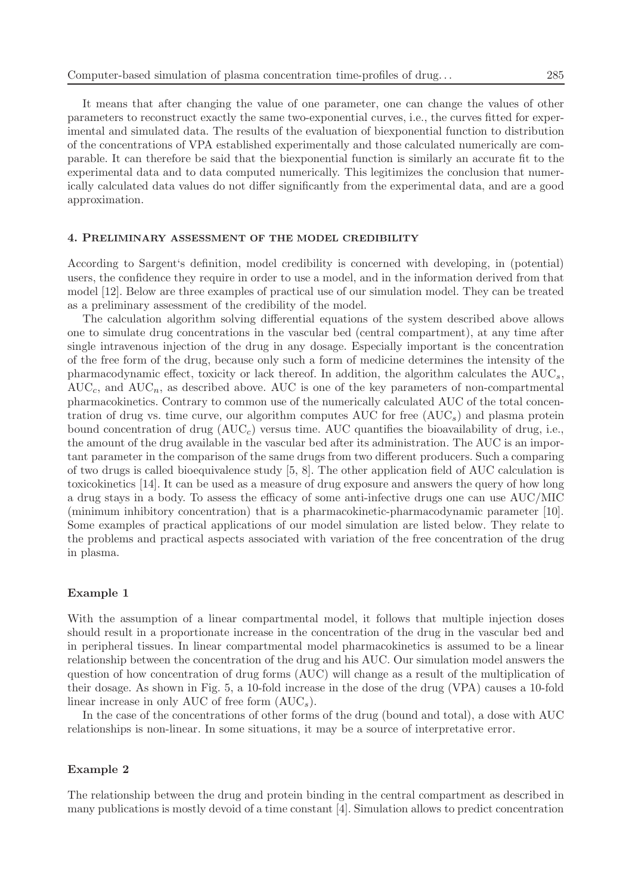It means that after changing the value of one parameter, one can change the values of other parameters to reconstruct exactly the same two-exponential curves, i.e., the curves fitted for experimental and simulated data. The results of the evaluation of biexponential function to distribution of the concentrations of VPA established experimentally and those calculated numerically are comparable. It can therefore be said that the biexponential function is similarly an accurate fit to the experimental data and to data computed numerically. This legitimizes the conclusion that numerically calculated data values do not differ significantly from the experimental data, and are a good approximation.

# **4. PRELIMINARY ASSESSMENT OF THE MODEL CREDIBILITY**

According to Sargent's definition, model credibility is concerned with developing, in (potential) users, the confidence they require in order to use a model, and in the information derived from that model [12]. Below are three examples of practical use of our simulation model. They can be treated as a preliminary assessment of the credibility of the model.

The calculation algorithm solving differential equations of the system described above allows one to simulate drug concentrations in the vascular bed (central compartment), at any time after single intravenous injection of the drug in any dosage. Especially important is the concentration of the free form of the drug, because only such a form of medicine determines the intensity of the pharmacodynamic effect, toxicity or lack thereof. In addition, the algorithm calculates the  $AUC_s$ ,  $AUC_c$ , and  $AUC_n$ , as described above. AUC is one of the key parameters of non-compartmental pharmacokinetics. Contrary to common use of the numerically calculated AUC of the total concentration of drug vs. time curve, our algorithm computes AUC for free  $(AUC<sub>s</sub>)$  and plasma protein bound concentration of drug  $(AUC_c)$  versus time. AUC quantifies the bioavailability of drug, i.e., the amount of the drug available in the vascular bed after its administration. The AUC is an important parameter in the comparison of the same drugs from two different producers. Such a comparing of two drugs is called bioequivalence study [5, 8]. The other application field of AUC calculation is toxicokinetics [14]. It can be used as a measure of drug exposure and answers the query of how long a drug stays in a body. To assess the efficacy of some anti-infective drugs one can use AUC/MIC (minimum inhibitory concentration) that is a pharmacokinetic-pharmacodynamic parameter [10]. Some examples of practical applications of our model simulation are listed below. They relate to the problems and practical aspects associated with variation of the free concentration of the drug in plasma.

### **Example 1**

With the assumption of a linear compartmental model, it follows that multiple injection doses should result in a proportionate increase in the concentration of the drug in the vascular bed and in peripheral tissues. In linear compartmental model pharmacokinetics is assumed to be a linear relationship between the concentration of the drug and his AUC. Our simulation model answers the question of how concentration of drug forms (AUC) will change as a result of the multiplication of their dosage. As shown in Fig. 5, a 10-fold increase in the dose of the drug (VPA) causes a 10-fold linear increase in only AUC of free form  $(AUC_s)$ .

In the case of the concentrations of other forms of the drug (bound and total), a dose with AUC relationships is non-linear. In some situations, it may be a source of interpretative error.

#### **Example 2**

The relationship between the drug and protein binding in the central compartment as described in many publications is mostly devoid of a time constant [4]. Simulation allows to predict concentration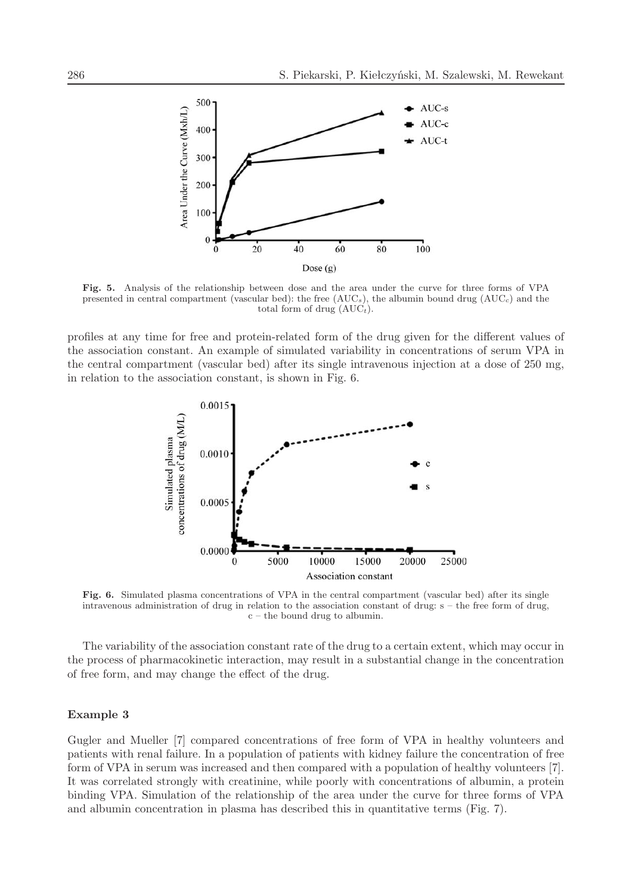

**Fig. 5.** Analysis of the relationship between dose and the area under the curve for three forms of VPA presented in central compartment (vascular bed): the free  $(AUC<sub>s</sub>)$ , the albumin bound drug  $(AUC<sub>c</sub>)$  and the total form of drug  $(AUC_t)$ .

profiles at any time for free and protein-related form of the drug given for the different values of the association constant. An example of simulated variability in concentrations of serum VPA in the central compartment (vascular bed) after its single intravenous injection at a dose of 250 mg, in relation to the association constant, is shown in Fig. 6.



**Fig. 6.** Simulated plasma concentrations of VPA in the central compartment (vascular bed) after its single intravenous administration of drug in relation to the association constant of drug: s – the free form of drug, c – the bound drug to albumin.

The variability of the association constant rate of the drug to a certain extent, which may occur in the process of pharmacokinetic interaction, may result in a substantial change in the concentration of free form, and may change the effect of the drug.

# **Example 3**

Gugler and Mueller [7] compared concentrations of free form of VPA in healthy volunteers and patients with renal failure. In a population of patients with kidney failure the concentration of free form of VPA in serum was increased and then compared with a population of healthy volunteers [7]. It was correlated strongly with creatinine, while poorly with concentrations of albumin, a protein binding VPA. Simulation of the relationship of the area under the curve for three forms of VPA and albumin concentration in plasma has described this in quantitative terms (Fig. 7).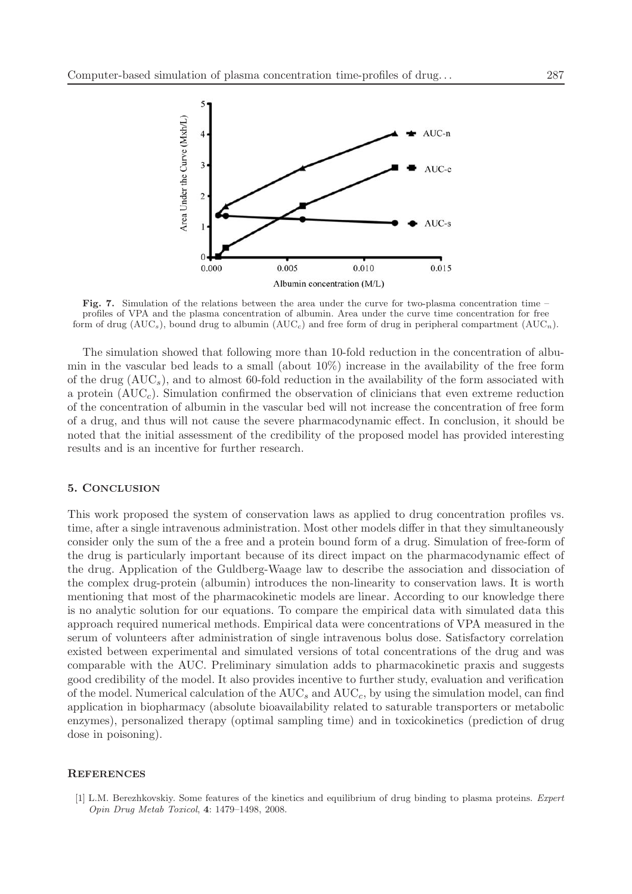

**Fig. 7.** Simulation of the relations between the area under the curve for two-plasma concentration time – profiles of VPA and the plasma concentration of albumin. Area under the curve time concentration for free form of drug ( $AUC_s$ ), bound drug to albumin ( $AUC_c$ ) and free form of drug in peripheral compartment ( $AUC_n$ ).

The simulation showed that following more than 10-fold reduction in the concentration of albumin in the vascular bed leads to a small (about  $10\%$ ) increase in the availability of the free form of the drug  $(AUC<sub>s</sub>)$ , and to almost 60-fold reduction in the availability of the form associated with a protein  $(AUC<sub>c</sub>)$ . Simulation confirmed the observation of clinicians that even extreme reduction of the concentration of albumin in the vascular bed will not increase the concentration of free form of a drug, and thus will not cause the severe pharmacodynamic effect. In conclusion, it should be noted that the initial assessment of the credibility of the proposed model has provided interesting results and is an incentive for further research.

#### **5. CONCLUSION**

This work proposed the system of conservation laws as applied to drug concentration profiles vs. time, after a single intravenous administration. Most other models differ in that they simultaneously consider only the sum of the a free and a protein bound form of a drug. Simulation of free-form of the drug is particularly important because of its direct impact on the pharmacodynamic effect of the drug. Application of the Guldberg-Waage law to describe the association and dissociation of the complex drug-protein (albumin) introduces the non-linearity to conservation laws. It is worth mentioning that most of the pharmacokinetic models are linear. According to our knowledge there is no analytic solution for our equations. To compare the empirical data with simulated data this approach required numerical methods. Empirical data were concentrations of VPA measured in the serum of volunteers after administration of single intravenous bolus dose. Satisfactory correlation existed between experimental and simulated versions of total concentrations of the drug and was comparable with the AUC. Preliminary simulation adds to pharmacokinetic praxis and suggests good credibility of the model. It also provides incentive to further study, evaluation and verification of the model. Numerical calculation of the  $AUC_s$  and  $AUC_c$ , by using the simulation model, can find application in biopharmacy (absolute bioavailability related to saturable transporters or metabolic enzymes), personalized therapy (optimal sampling time) and in toxicokinetics (prediction of drug dose in poisoning).

#### **REFERENCES**

<sup>[1]</sup> L.M. Berezhkovskiy. Some features of the kinetics and equilibrium of drug binding to plasma proteins. *Expert Opin Drug Metab Toxicol*, **4**: 1479–1498, 2008.